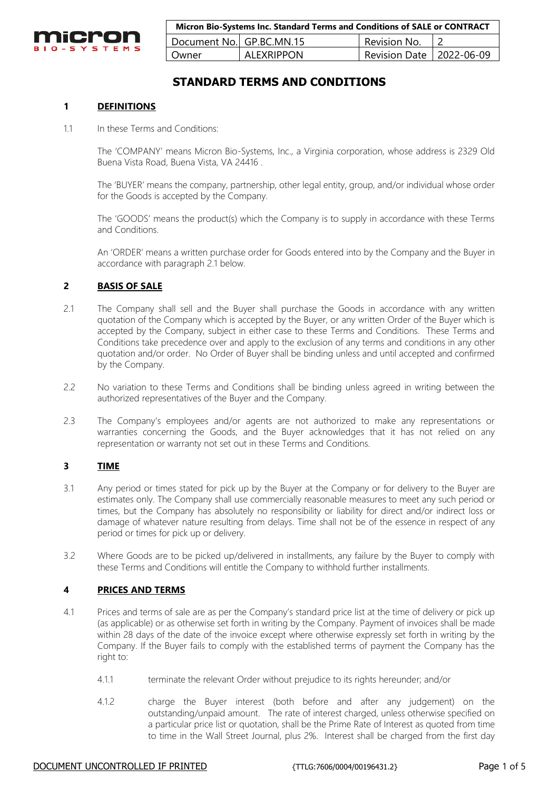

| Micron Bio-Systems Inc. Standard Terms and Conditions of SALE or CONTRACT |                   |                            |  |
|---------------------------------------------------------------------------|-------------------|----------------------------|--|
| Document No. GP.BC.MN.15                                                  |                   | Revision No.               |  |
| Owner                                                                     | <b>ALEXRIPPON</b> | Revision Date   2022-06-09 |  |

# **STANDARD TERMS AND CONDITIONS**

# **1 DEFINITIONS**

1.1 In these Terms and Conditions:

The 'COMPANY' means Micron Bio-Systems, Inc., a Virginia corporation, whose address is 2329 Old Buena Vista Road, Buena Vista, VA 24416 .

The 'BUYER' means the company, partnership, other legal entity, group, and/or individual whose order for the Goods is accepted by the Company.

The 'GOODS' means the product(s) which the Company is to supply in accordance with these Terms and Conditions.

An 'ORDER' means a written purchase order for Goods entered into by the Company and the Buyer in accordance with paragraph 2.1 below.

# **2 BASIS OF SALE**

- 2.1 The Company shall sell and the Buyer shall purchase the Goods in accordance with any written quotation of the Company which is accepted by the Buyer, or any written Order of the Buyer which is accepted by the Company, subject in either case to these Terms and Conditions. These Terms and Conditions take precedence over and apply to the exclusion of any terms and conditions in any other quotation and/or order. No Order of Buyer shall be binding unless and until accepted and confirmed by the Company.
- 2.2 No variation to these Terms and Conditions shall be binding unless agreed in writing between the authorized representatives of the Buyer and the Company.
- 2.3 The Company's employees and/or agents are not authorized to make any representations or warranties concerning the Goods, and the Buyer acknowledges that it has not relied on any representation or warranty not set out in these Terms and Conditions.

#### **3 TIME**

- 3.1 Any period or times stated for pick up by the Buyer at the Company or for delivery to the Buyer are estimates only. The Company shall use commercially reasonable measures to meet any such period or times, but the Company has absolutely no responsibility or liability for direct and/or indirect loss or damage of whatever nature resulting from delays. Time shall not be of the essence in respect of any period or times for pick up or delivery.
- 3.2 Where Goods are to be picked up/delivered in installments, any failure by the Buyer to comply with these Terms and Conditions will entitle the Company to withhold further installments.

### **4 PRICES AND TERMS**

- 4.1 Prices and terms of sale are as per the Company's standard price list at the time of delivery or pick up (as applicable) or as otherwise set forth in writing by the Company. Payment of invoices shall be made within 28 days of the date of the invoice except where otherwise expressly set forth in writing by the Company. If the Buyer fails to comply with the established terms of payment the Company has the right to:
	- 4.1.1 terminate the relevant Order without prejudice to its rights hereunder; and/or
	- 4.1.2 charge the Buyer interest (both before and after any judgement) on the outstanding/unpaid amount. The rate of interest charged, unless otherwise specified on a particular price list or quotation, shall be the Prime Rate of Interest as quoted from time to time in the Wall Street Journal, plus 2%. Interest shall be charged from the first day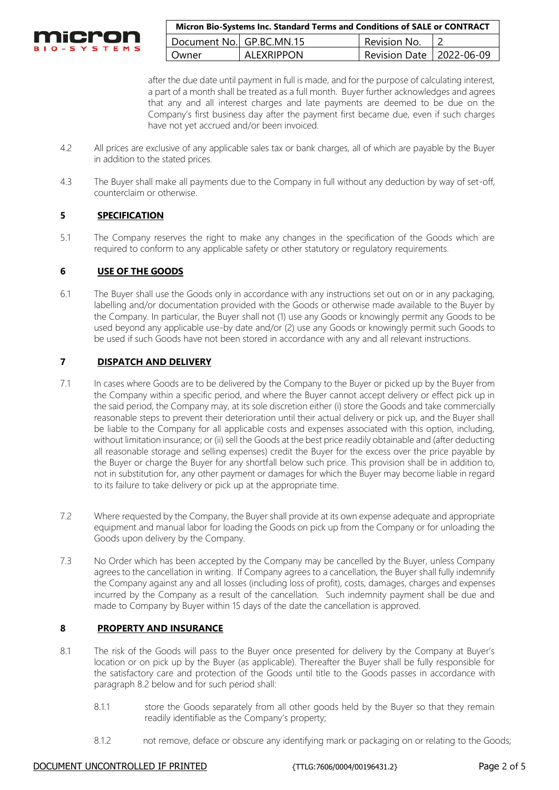

| Micron Bio-Systems Inc. Standard Terms and Conditions of SALE or CONTRACT |                   |                            |  |
|---------------------------------------------------------------------------|-------------------|----------------------------|--|
| Document No. GP.BC.MN.15                                                  |                   | Revision No.               |  |
| Owner                                                                     | <b>ALEXRIPPON</b> | Revision Date   2022-06-09 |  |

after the due date until payment in full is made, and for the purpose of calculating interest, a part of a month shall be treated as a full month. Buyer further acknowledges and agrees that any and all interest charges and late payments are deemed to be due on the Company's first business day after the payment first became due, even if such charges have not yet accrued and/or been invoiced.

- 4.2 All prices are exclusive of any applicable sales tax or bank charges, all of which are payable by the Buyer in addition to the stated prices.
- 4.3 The Buyer shall make all payments due to the Company in full without any deduction by way of set-off, counterclaim or otherwise.

# **5 SPECIFICATION**

5.1 The Company reserves the right to make any changes in the specification of the Goods which are required to conform to any applicable safety or other statutory or regulatory requirements.

# **6 USE OF THE GOODS**

6.1 The Buyer shall use the Goods only in accordance with any instructions set out on or in any packaging, labelling and/or documentation provided with the Goods or otherwise made available to the Buyer by the Company. In particular, the Buyer shall not (1) use any Goods or knowingly permit any Goods to be used beyond any applicable use-by date and/or (2) use any Goods or knowingly permit such Goods to be used if such Goods have not been stored in accordance with any and all relevant instructions.

# **7 DISPATCH AND DELIVERY**

- 7.1 In cases where Goods are to be delivered by the Company to the Buyer or picked up by the Buyer from the Company within a specific period, and where the Buyer cannot accept delivery or effect pick up in the said period, the Company may, at its sole discretion either (i) store the Goods and take commercially reasonable steps to prevent their deterioration until their actual delivery or pick up, and the Buyer shall be liable to the Company for all applicable costs and expenses associated with this option, including, without limitation insurance; or (ii) sell the Goods at the best price readily obtainable and (after deducting all reasonable storage and selling expenses) credit the Buyer for the excess over the price payable by the Buyer or charge the Buyer for any shortfall below such price. This provision shall be in addition to, not in substitution for, any other payment or damages for which the Buyer may become liable in regard to its failure to take delivery or pick up at the appropriate time.
- 7.2 Where requested by the Company, the Buyer shall provide at its own expense adequate and appropriate equipment and manual labor for loading the Goods on pick up from the Company or for unloading the Goods upon delivery by the Company.
- 7.3 No Order which has been accepted by the Company may be cancelled by the Buyer, unless Company agrees to the cancellation in writing. If Company agrees to a cancellation, the Buyer shall fully indemnify the Company against any and all losses (including loss of profit), costs, damages, charges and expenses incurred by the Company as a result of the cancellation. Such indemnity payment shall be due and made to Company by Buyer within 15 days of the date the cancellation is approved.

#### **8 PROPERTY AND INSURANCE**

- 8.1 The risk of the Goods will pass to the Buyer once presented for delivery by the Company at Buyer's location or on pick up by the Buyer (as applicable). Thereafter the Buyer shall be fully responsible for the satisfactory care and protection of the Goods until title to the Goods passes in accordance with paragraph 8.2 below and for such period shall:
	- 8.1.1 store the Goods separately from all other goods held by the Buyer so that they remain readily identifiable as the Company's property;
	- 8.1.2 not remove, deface or obscure any identifying mark or packaging on or relating to the Goods;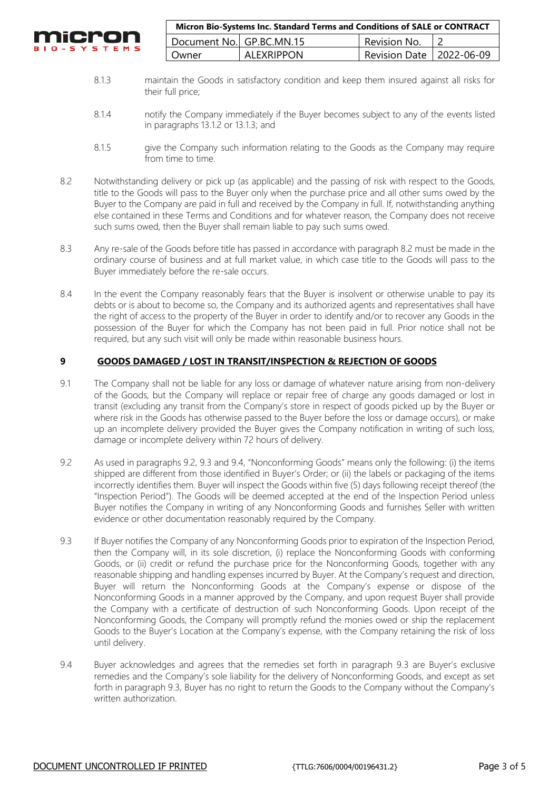

| Micron Bio-Systems Inc. Standard Terms and Conditions of SALE or CONTRACT |            |                            |  |
|---------------------------------------------------------------------------|------------|----------------------------|--|
| Document No. GP.BC.MN.15                                                  |            | Revision No.               |  |
| Owner                                                                     | ALEXRIPPON | Revision Date   2022-06-09 |  |

- 8.1.3 maintain the Goods in satisfactory condition and keep them insured against all risks for their full price;
- 8.1.4 notify the Company immediately if the Buyer becomes subject to any of the events listed in paragraphs 13.1.2 or 13.1.3; and
- 8.1.5 give the Company such information relating to the Goods as the Company may require from time to time.
- 8.2 Notwithstanding delivery or pick up (as applicable) and the passing of risk with respect to the Goods, title to the Goods will pass to the Buyer only when the purchase price and all other sums owed by the Buyer to the Company are paid in full and received by the Company in full. If, notwithstanding anything else contained in these Terms and Conditions and for whatever reason, the Company does not receive such sums owed, then the Buyer shall remain liable to pay such sums owed.
- 8.3 Any re-sale of the Goods before title has passed in accordance with paragraph 8.2 must be made in the ordinary course of business and at full market value, in which case title to the Goods will pass to the Buyer immediately before the re-sale occurs.
- 8.4 In the event the Company reasonably fears that the Buyer is insolvent or otherwise unable to pay its debts or is about to become so, the Company and its authorized agents and representatives shall have the right of access to the property of the Buyer in order to identify and/or to recover any Goods in the possession of the Buyer for which the Company has not been paid in full. Prior notice shall not be required, but any such visit will only be made within reasonable business hours.

# **9 GOODS DAMAGED / LOST IN TRANSIT/INSPECTION & REJECTION OF GOODS**

- 9.1 The Company shall not be liable for any loss or damage of whatever nature arising from non-delivery of the Goods, but the Company will replace or repair free of charge any goods damaged or lost in transit (excluding any transit from the Company's store in respect of goods picked up by the Buyer or where risk in the Goods has otherwise passed to the Buyer before the loss or damage occurs), or make up an incomplete delivery provided the Buyer gives the Company notification in writing of such loss, damage or incomplete delivery within 72 hours of delivery.
- 9.2 As used in paragraphs 9.2, 9.3 and 9.4, "Nonconforming Goods" means only the following: (i) the items shipped are different from those identified in Buyer's Order; or (ii) the labels or packaging of the items incorrectly identifies them. Buyer will inspect the Goods within five (5) days following receipt thereof (the "Inspection Period"). The Goods will be deemed accepted at the end of the Inspection Period unless Buyer notifies the Company in writing of any Nonconforming Goods and furnishes Seller with written evidence or other documentation reasonably required by the Company.
- 9.3 If Buyer notifies the Company of any Nonconforming Goods prior to expiration of the Inspection Period, then the Company will, in its sole discretion, (i) replace the Nonconforming Goods with conforming Goods, or (ii) credit or refund the purchase price for the Nonconforming Goods, together with any reasonable shipping and handling expenses incurred by Buyer. At the Company's request and direction, Buyer will return the Nonconforming Goods at the Company's expense or dispose of the Nonconforming Goods in a manner approved by the Company, and upon request Buyer shall provide the Company with a certificate of destruction of such Nonconforming Goods. Upon receipt of the Nonconforming Goods, the Company will promptly refund the monies owed or ship the replacement Goods to the Buyer's Location at the Company's expense, with the Company retaining the risk of loss until delivery.
- 9.4 Buyer acknowledges and agrees that the remedies set forth in paragraph 9.3 are Buyer's exclusive remedies and the Company's sole liability for the delivery of Nonconforming Goods, and except as set forth in paragraph 9.3, Buyer has no right to return the Goods to the Company without the Company's written authorization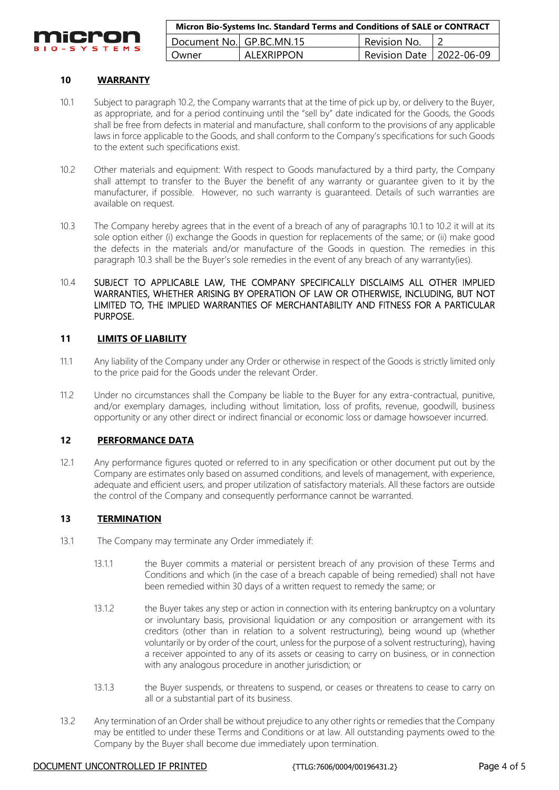

| Micron Bio-Systems Inc. Standard Terms and Conditions of SALE or CONTRACT |                   |                            |  |
|---------------------------------------------------------------------------|-------------------|----------------------------|--|
| Document No. GP.BC.MN.15                                                  |                   | Revision No.               |  |
| l Owner                                                                   | <b>ALEXRIPPON</b> | Revision Date   2022-06-09 |  |

# **10 WARRANTY**

- 10.1 Subject to paragraph 10.2, the Company warrants that at the time of pick up by, or delivery to the Buyer, as appropriate, and for a period continuing until the "sell by" date indicated for the Goods, the Goods shall be free from defects in material and manufacture, shall conform to the provisions of any applicable laws in force applicable to the Goods, and shall conform to the Company's specifications for such Goods to the extent such specifications exist.
- 10.2 Other materials and equipment: With respect to Goods manufactured by a third party, the Company shall attempt to transfer to the Buyer the benefit of any warranty or guarantee given to it by the manufacturer, if possible. However, no such warranty is guaranteed. Details of such warranties are available on request.
- 10.3 The Company hereby agrees that in the event of a breach of any of paragraphs 10.1 to 10.2 it will at its sole option either (i) exchange the Goods in question for replacements of the same; or (ii) make good the defects in the materials and/or manufacture of the Goods in question. The remedies in this paragraph 10.3 shall be the Buyer's sole remedies in the event of any breach of any warranty(ies).
- 10.4 SUBJECT TO APPLICABLE LAW, THE COMPANY SPECIFICALLY DISCLAIMS ALL OTHER IMPLIED WARRANTIES, WHETHER ARISING BY OPERATION OF LAW OR OTHERWISE, INCLUDING, BUT NOT LIMITED TO, THE IMPLIED WARRANTIES OF MERCHANTABILITY AND FITNESS FOR A PARTICULAR PURPOSE.

#### **11 LIMITS OF LIABILITY**

- 11.1 Any liability of the Company under any Order or otherwise in respect of the Goods is strictly limited only to the price paid for the Goods under the relevant Order.
- 11.2 Under no circumstances shall the Company be liable to the Buyer for any extra-contractual, punitive, and/or exemplary damages, including without limitation, loss of profits, revenue, goodwill, business opportunity or any other direct or indirect financial or economic loss or damage howsoever incurred.

#### **12 PERFORMANCE DATA**

12.1 Any performance figures quoted or referred to in any specification or other document put out by the Company are estimates only based on assumed conditions, and levels of management, with experience, adequate and efficient users, and proper utilization of satisfactory materials. All these factors are outside the control of the Company and consequently performance cannot be warranted.

#### **13 TERMINATION**

- 13.1 The Company may terminate any Order immediately if:
	- 13.1.1 the Buyer commits a material or persistent breach of any provision of these Terms and Conditions and which (in the case of a breach capable of being remedied) shall not have been remedied within 30 days of a written request to remedy the same; or
	- 13.1.2 the Buyer takes any step or action in connection with its entering bankruptcy on a voluntary or involuntary basis, provisional liquidation or any composition or arrangement with its creditors (other than in relation to a solvent restructuring), being wound up (whether voluntarily or by order of the court, unless for the purpose of a solvent restructuring), having a receiver appointed to any of its assets or ceasing to carry on business, or in connection with any analogous procedure in another jurisdiction; or
	- 13.1.3 the Buyer suspends, or threatens to suspend, or ceases or threatens to cease to carry on all or a substantial part of its business.
- 13.2 Any termination of an Order shall be without prejudice to any other rights or remedies that the Company may be entitled to under these Terms and Conditions or at law. All outstanding payments owed to the Company by the Buyer shall become due immediately upon termination.